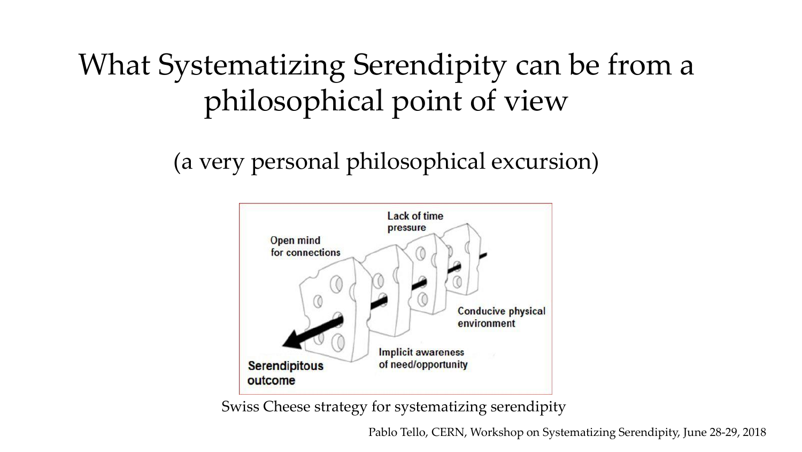# What Systematizing Serendipity can be from a philosophical point of view

(a very personal philosophical excursion)



Swiss Cheese strategy for systematizing serendipity

Pablo Tello, CERN, Workshop on Systematizing Serendipity, June 28-29, 2018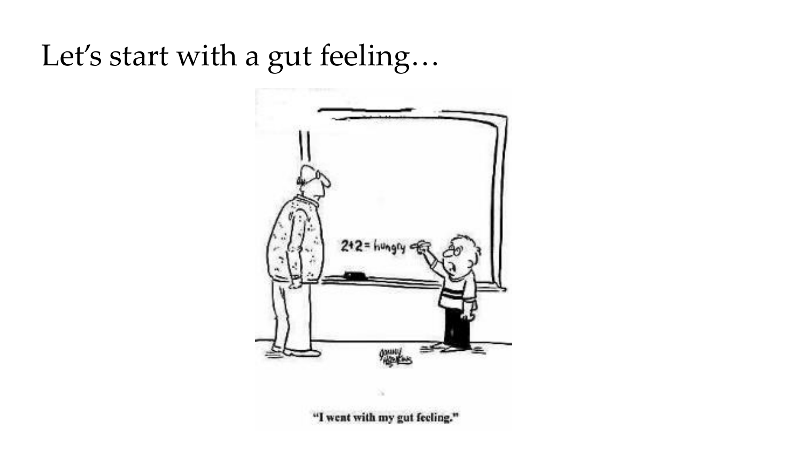# Let's start with a gut feeling...

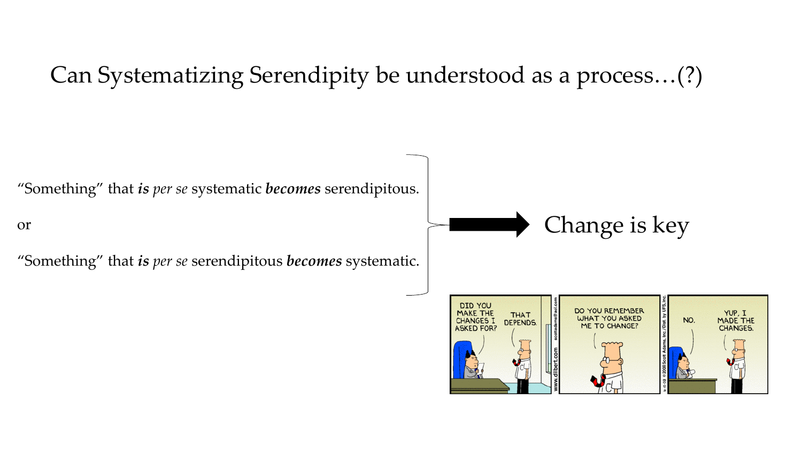### Can Systematizing Serendipity be understood as a process…(?)

"Something" that *is per se* systematic *becomes* serendipitous.

or

"Something" that *is per se* serendipitous *becomes* systematic.



Change is key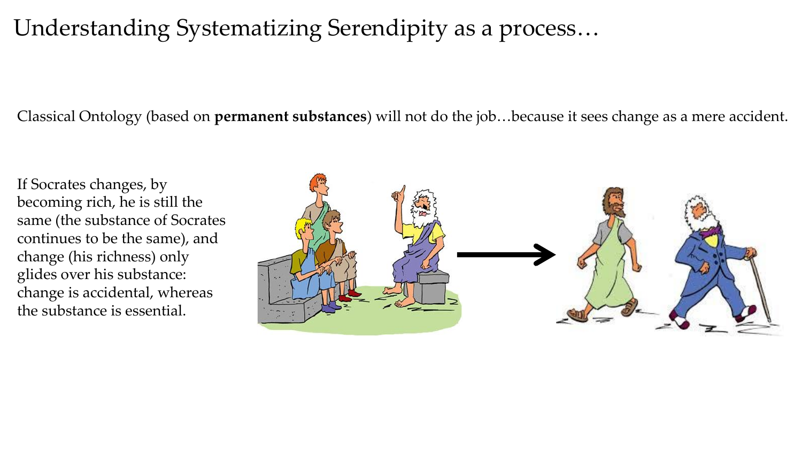## Understanding Systematizing Serendipity as a process…

Classical Ontology (based on **permanent substances**) will not do the job…because it sees change as a mere accident.

If Socrates changes, by becoming rich, he is still the same (the substance of Socrates continues to be the same), and change (his richness) only glides over his substance: change is accidental, whereas the substance is essential.

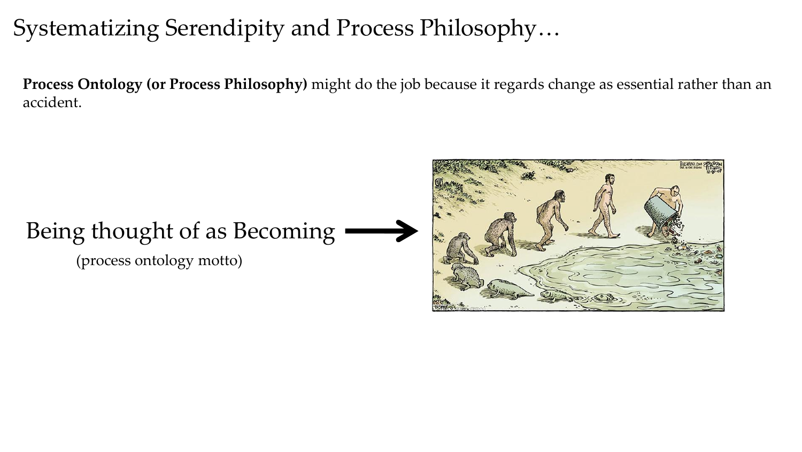## Systematizing Serendipity and Process Philosophy…

**Process Ontology (or Process Philosophy)** might do the job because it regards change as essential rather than an accident.

# Being thought of as Becoming

(process ontology motto)

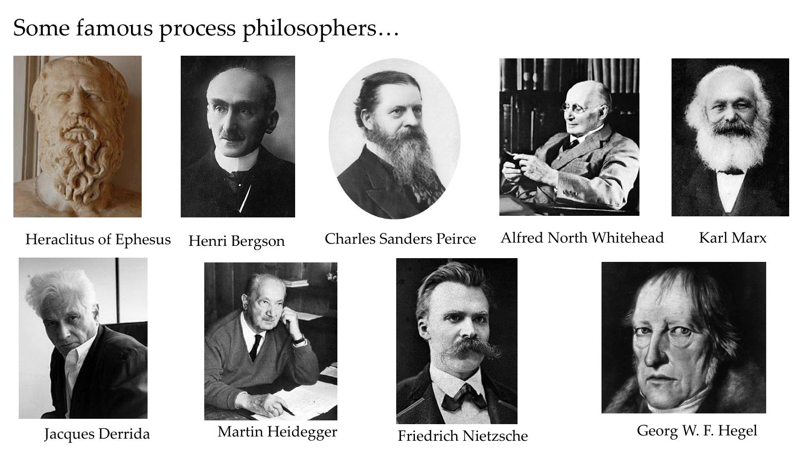## Some famous process philosophers…











### Heraclitus of Ephesus Henri Bergson Charles Sanders Peirce Alfred North Whitehead

Karl Marx





Jacques Derrida Martin Heidegger





Friedrich Nietzsche Georg W. F. Hegel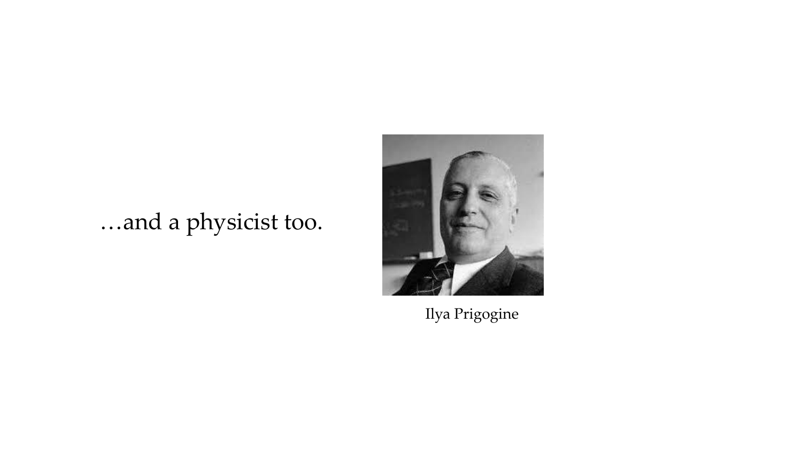# ...and a physicist too.



Ilya Prigogine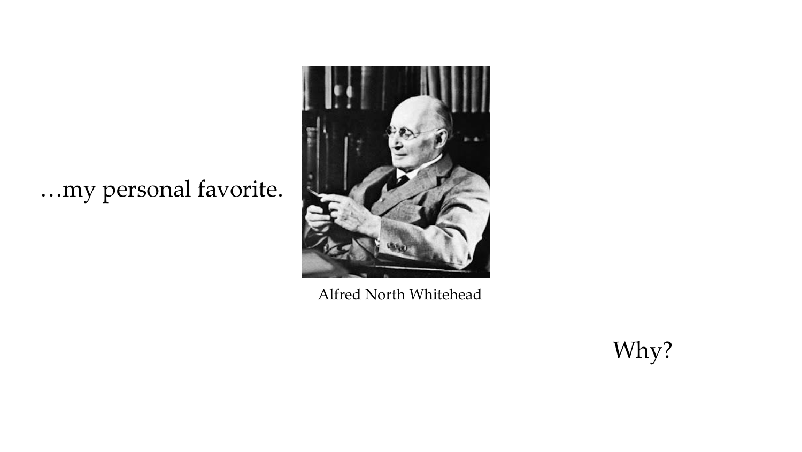# …my personal favorite.



Alfred North Whitehead

Why?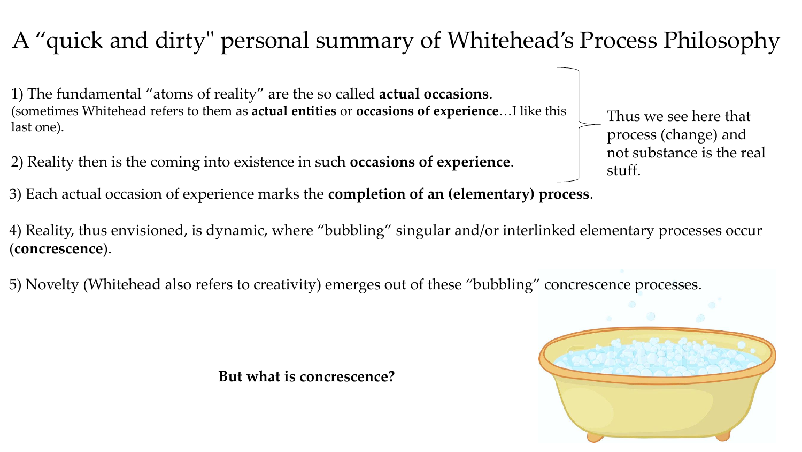# A "quick and dirty" personal summary of Whitehead's Process Philosophy

1) The fundamental "atoms of reality" are the so called **actual occasions**. (sometimes Whitehead refers to them as **actual entities** or **occasions of experience**…I like this last one).

2) Reality then is the coming into existence in such **occasions of experience**.

3) Each actual occasion of experience marks the **completion of an (elementary) process**.

4) Reality, thus envisioned, is dynamic, where "bubbling" singular and/or interlinked elementary processes occur (**concrescence**).

5) Novelty (Whitehead also refers to creativity) emerges out of these "bubbling" concrescence processes.

**But what is concrescence?**

Thus we see here that

process (change) and

stuff.

not substance is the real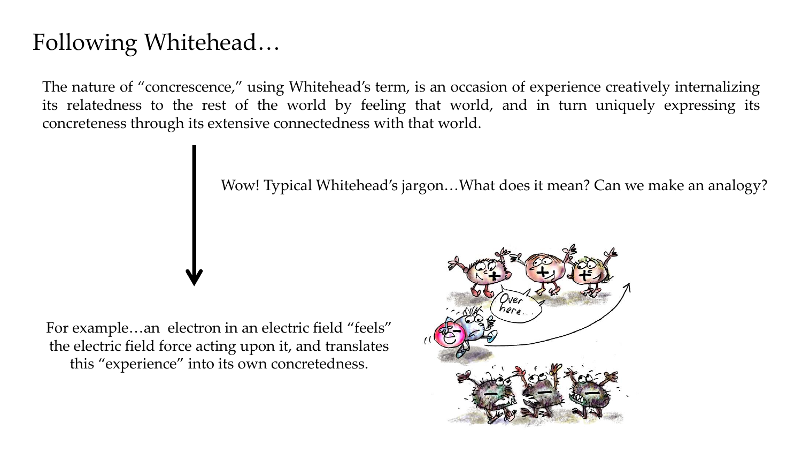# Following Whitehead…

The nature of "concrescence," using Whitehead's term, is an occasion of experience creatively internalizing its relatedness to the rest of the world by feeling that world, and in turn uniquely expressing its concreteness through its extensive connectedness with that world.

Wow! Typical Whitehead's jargon…What does it mean? Can we make an analogy?

For example…an electron in an electric field "feels" the electric field force acting upon it, and translates this "experience" into its own concretedness.

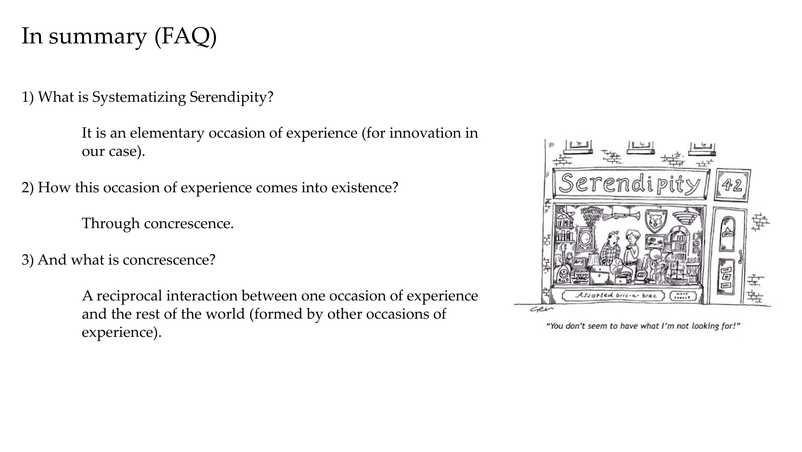## In summary (FAQ)

1) What is Systematizing Serendipity?

It is an elementary occasion of experience (for innovation in our case).

2) How this occasion of experience comes into existence?

Through concrescence.

3) And what is concrescence?

A reciprocal interaction between one occasion of experience and the rest of the world (formed by other occasions of experience).



"You don't seem to have what I'm not looking for!"